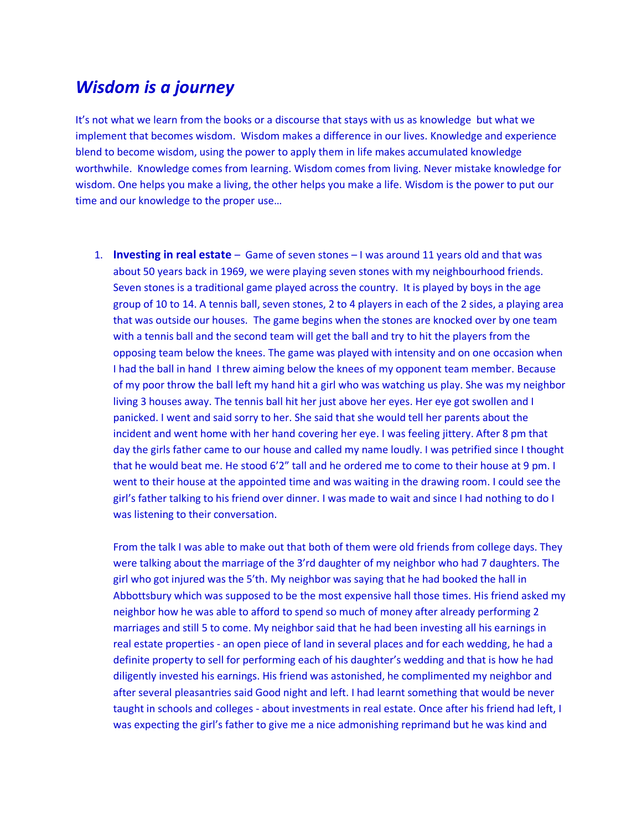## *Wisdom is a journey*

It's not what we learn from the books or a discourse that stays with us as knowledge but what we implement that becomes wisdom. Wisdom makes a difference in our lives. Knowledge and experience blend to become wisdom, using the power to apply them in life makes accumulated knowledge worthwhile. Knowledge comes from learning. Wisdom comes from living. Never mistake knowledge for wisdom. One helps you make a living, the other helps you make a life. Wisdom is the power to put our time and our knowledge to the proper use…

1. **Investing in real estate** – Game of seven stones – I was around 11 years old and that was about 50 years back in 1969, we were playing seven stones with my neighbourhood friends. Seven stones is a traditional game played across the country. It is played by boys in the age group of 10 to 14. A tennis ball, seven stones, 2 to 4 players in each of the 2 sides, a playing area that was outside our houses. The game begins when the stones are knocked over by one team with a tennis ball and the second team will get the ball and try to hit the players from the opposing team below the knees. The game was played with intensity and on one occasion when I had the ball in hand I threw aiming below the knees of my opponent team member. Because of my poor throw the ball left my hand hit a girl who was watching us play. She was my neighbor living 3 houses away. The tennis ball hit her just above her eyes. Her eye got swollen and I panicked. I went and said sorry to her. She said that she would tell her parents about the incident and went home with her hand covering her eye. I was feeling jittery. After 8 pm that day the girls father came to our house and called my name loudly. I was petrified since I thought that he would beat me. He stood 6'2" tall and he ordered me to come to their house at 9 pm. I went to their house at the appointed time and was waiting in the drawing room. I could see the girl's father talking to his friend over dinner. I was made to wait and since I had nothing to do I was listening to their conversation.

From the talk I was able to make out that both of them were old friends from college days. They were talking about the marriage of the 3'rd daughter of my neighbor who had 7 daughters. The girl who got injured was the 5'th. My neighbor was saying that he had booked the hall in Abbottsbury which was supposed to be the most expensive hall those times. His friend asked my neighbor how he was able to afford to spend so much of money after already performing 2 marriages and still 5 to come. My neighbor said that he had been investing all his earnings in real estate properties - an open piece of land in several places and for each wedding, he had a definite property to sell for performing each of his daughter's wedding and that is how he had diligently invested his earnings. His friend was astonished, he complimented my neighbor and after several pleasantries said Good night and left. I had learnt something that would be never taught in schools and colleges - about investments in real estate. Once after his friend had left, I was expecting the girl's father to give me a nice admonishing reprimand but he was kind and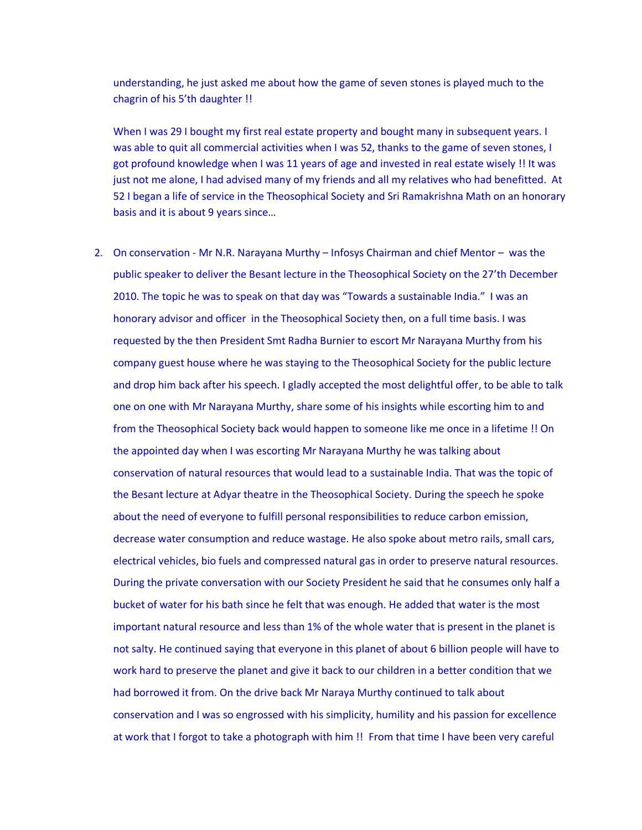understanding, he just asked me about how the game of seven stones is played much to the chagrin of his 5'th daughter !!

When I was 29 I bought my first real estate property and bought many in subsequent years. I was able to quit all commercial activities when I was 52, thanks to the game of seven stones, I got profound knowledge when I was 11 years of age and invested in real estate wisely !! It was just not me alone, I had advised many of my friends and all my relatives who had benefitted. At 52 I began a life of service in the Theosophical Society and Sri Ramakrishna Math on an honorary basis and it is about 9 years since…

2. On conservation - Mr N.R. Narayana Murthy – Infosys Chairman and chief Mentor – was the public speaker to deliver the Besant lecture in the Theosophical Society on the 27'th December 2010. The topic he was to speak on that day was "Towards a sustainable India." I was an honorary advisor and officer in the Theosophical Society then, on a full time basis. I was requested by the then President Smt Radha Burnier to escort Mr Narayana Murthy from his company guest house where he was staying to the Theosophical Society for the public lecture and drop him back after his speech. I gladly accepted the most delightful offer, to be able to talk one on one with Mr Narayana Murthy, share some of his insights while escorting him to and from the Theosophical Society back would happen to someone like me once in a lifetime !! On the appointed day when I was escorting Mr Narayana Murthy he was talking about conservation of natural resources that would lead to a sustainable India. That was the topic of the Besant lecture at Adyar theatre in the Theosophical Society. During the speech he spoke about the need of everyone to fulfill personal responsibilities to reduce carbon emission, decrease water consumption and reduce wastage. He also spoke about metro rails, small cars, electrical vehicles, bio fuels and compressed natural gas in order to preserve natural resources. During the private conversation with our Society President he said that he consumes only half a bucket of water for his bath since he felt that was enough. He added that water is the most important natural resource and less than 1% of the whole water that is present in the planet is not salty. He continued saying that everyone in this planet of about 6 billion people will have to work hard to preserve the planet and give it back to our children in a better condition that we had borrowed it from. On the drive back Mr Naraya Murthy continued to talk about conservation and I was so engrossed with his simplicity, humility and his passion for excellence at work that I forgot to take a photograph with him !! From that time I have been very careful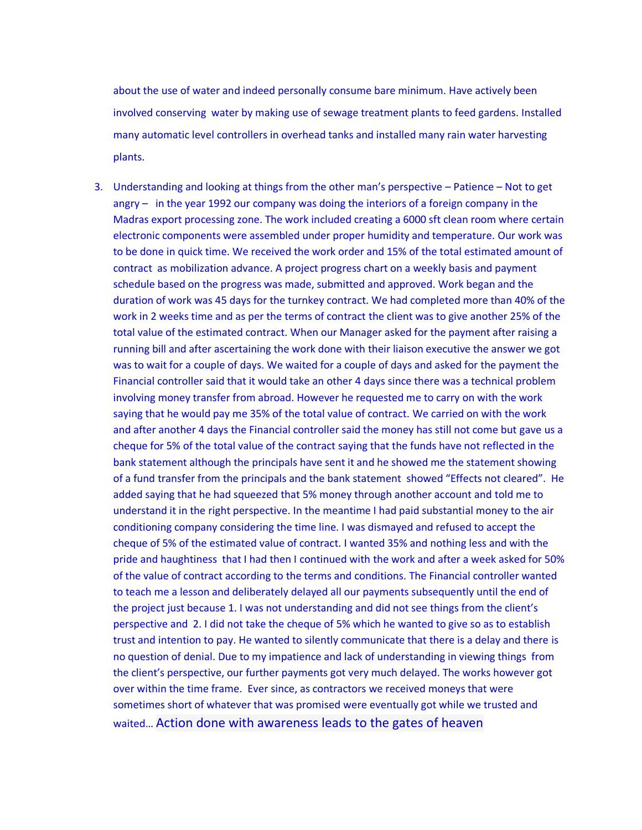about the use of water and indeed personally consume bare minimum. Have actively been involved conserving water by making use of sewage treatment plants to feed gardens. Installed many automatic level controllers in overhead tanks and installed many rain water harvesting plants.

3. Understanding and looking at things from the other man's perspective – Patience – Not to get angry – in the year 1992 our company was doing the interiors of a foreign company in the Madras export processing zone. The work included creating a 6000 sft clean room where certain electronic components were assembled under proper humidity and temperature. Our work was to be done in quick time. We received the work order and 15% of the total estimated amount of contract as mobilization advance. A project progress chart on a weekly basis and payment schedule based on the progress was made, submitted and approved. Work began and the duration of work was 45 days for the turnkey contract. We had completed more than 40% of the work in 2 weeks time and as per the terms of contract the client was to give another 25% of the total value of the estimated contract. When our Manager asked for the payment after raising a running bill and after ascertaining the work done with their liaison executive the answer we got was to wait for a couple of days. We waited for a couple of days and asked for the payment the Financial controller said that it would take an other 4 days since there was a technical problem involving money transfer from abroad. However he requested me to carry on with the work saying that he would pay me 35% of the total value of contract. We carried on with the work and after another 4 days the Financial controller said the money has still not come but gave us a cheque for 5% of the total value of the contract saying that the funds have not reflected in the bank statement although the principals have sent it and he showed me the statement showing of a fund transfer from the principals and the bank statement showed "Effects not cleared". He added saying that he had squeezed that 5% money through another account and told me to understand it in the right perspective. In the meantime I had paid substantial money to the air conditioning company considering the time line. I was dismayed and refused to accept the cheque of 5% of the estimated value of contract. I wanted 35% and nothing less and with the pride and haughtiness that I had then I continued with the work and after a week asked for 50% of the value of contract according to the terms and conditions. The Financial controller wanted to teach me a lesson and deliberately delayed all our payments subsequently until the end of the project just because 1. I was not understanding and did not see things from the client's perspective and 2. I did not take the cheque of 5% which he wanted to give so as to establish trust and intention to pay. He wanted to silently communicate that there is a delay and there is no question of denial. Due to my impatience and lack of understanding in viewing things from the client's perspective, our further payments got very much delayed. The works however got over within the time frame. Ever since, as contractors we received moneys that were sometimes short of whatever that was promised were eventually got while we trusted and waited… Action done with awareness leads to the gates of heaven